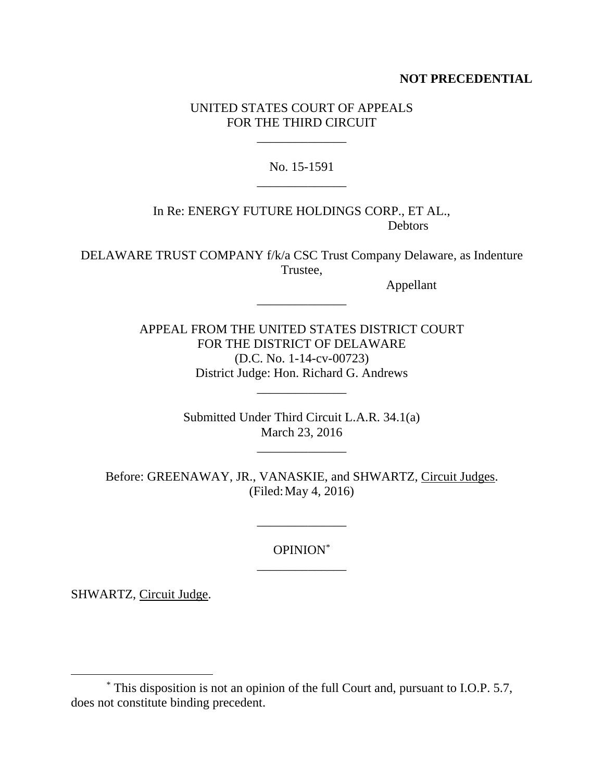# **NOT PRECEDENTIAL**

# UNITED STATES COURT OF APPEALS FOR THE THIRD CIRCUIT

\_\_\_\_\_\_\_\_\_\_\_\_\_\_

No. 15-1591 \_\_\_\_\_\_\_\_\_\_\_\_\_\_

In Re: ENERGY FUTURE HOLDINGS CORP., ET AL., Debtors

DELAWARE TRUST COMPANY f/k/a CSC Trust Company Delaware, as Indenture Trustee,

\_\_\_\_\_\_\_\_\_\_\_\_\_\_

Appellant

APPEAL FROM THE UNITED STATES DISTRICT COURT FOR THE DISTRICT OF DELAWARE (D.C. No. 1-14-cv-00723) District Judge: Hon. Richard G. Andrews

> Submitted Under Third Circuit L.A.R. 34.1(a) March 23, 2016

> > \_\_\_\_\_\_\_\_\_\_\_\_\_\_

\_\_\_\_\_\_\_\_\_\_\_\_\_\_

Before: GREENAWAY, JR., VANASKIE, and SHWARTZ, Circuit Judges. (Filed:May 4, 2016)

\_\_\_\_\_\_\_\_\_\_\_\_\_\_

OPINION\* \_\_\_\_\_\_\_\_\_\_\_\_\_\_

SHWARTZ, Circuit Judge.

<sup>\*</sup> This disposition is not an opinion of the full Court and, pursuant to I.O.P. 5.7, does not constitute binding precedent.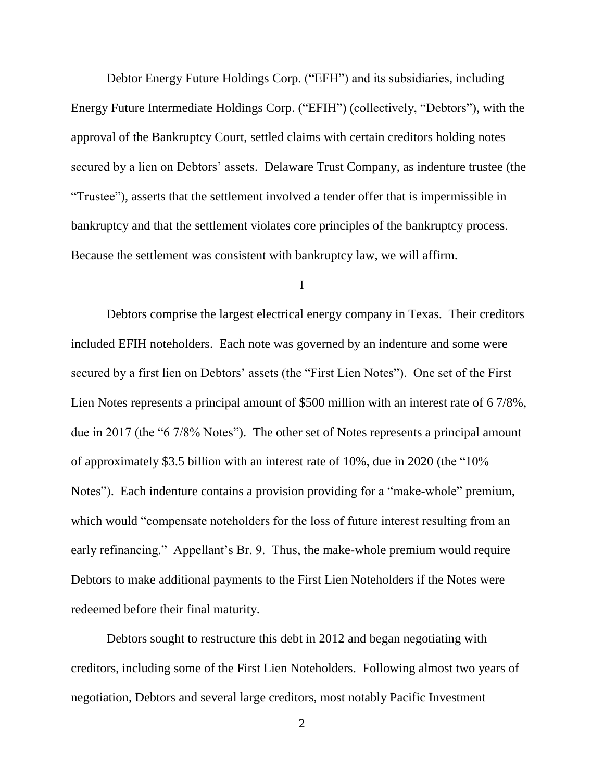Debtor Energy Future Holdings Corp. ("EFH") and its subsidiaries, including Energy Future Intermediate Holdings Corp. ("EFIH") (collectively, "Debtors"), with the approval of the Bankruptcy Court, settled claims with certain creditors holding notes secured by a lien on Debtors' assets. Delaware Trust Company, as indenture trustee (the "Trustee"), asserts that the settlement involved a tender offer that is impermissible in bankruptcy and that the settlement violates core principles of the bankruptcy process. Because the settlement was consistent with bankruptcy law, we will affirm.

I

Debtors comprise the largest electrical energy company in Texas. Their creditors included EFIH noteholders. Each note was governed by an indenture and some were secured by a first lien on Debtors' assets (the "First Lien Notes"). One set of the First Lien Notes represents a principal amount of \$500 million with an interest rate of 6 7/8%, due in 2017 (the "6 7/8% Notes"). The other set of Notes represents a principal amount of approximately \$3.5 billion with an interest rate of 10%, due in 2020 (the "10% Notes"). Each indenture contains a provision providing for a "make-whole" premium, which would "compensate noteholders for the loss of future interest resulting from an early refinancing." Appellant's Br. 9. Thus, the make-whole premium would require Debtors to make additional payments to the First Lien Noteholders if the Notes were redeemed before their final maturity.

Debtors sought to restructure this debt in 2012 and began negotiating with creditors, including some of the First Lien Noteholders. Following almost two years of negotiation, Debtors and several large creditors, most notably Pacific Investment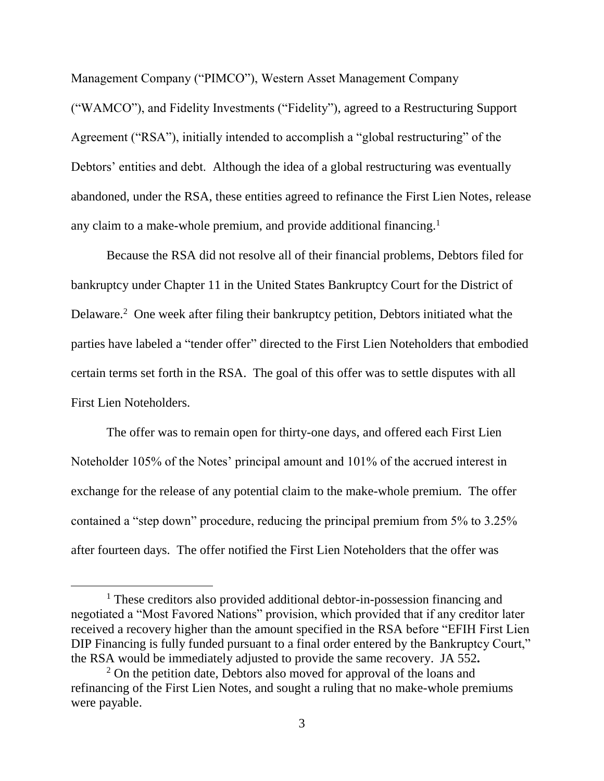Management Company ("PIMCO"), Western Asset Management Company ("WAMCO"), and Fidelity Investments ("Fidelity"), agreed to a Restructuring Support Agreement ("RSA"), initially intended to accomplish a "global restructuring" of the Debtors' entities and debt. Although the idea of a global restructuring was eventually abandoned, under the RSA, these entities agreed to refinance the First Lien Notes, release any claim to a make-whole premium, and provide additional financing.<sup>1</sup>

Because the RSA did not resolve all of their financial problems, Debtors filed for bankruptcy under Chapter 11 in the United States Bankruptcy Court for the District of Delaware.<sup>2</sup> One week after filing their bankruptcy petition, Debtors initiated what the parties have labeled a "tender offer" directed to the First Lien Noteholders that embodied certain terms set forth in the RSA. The goal of this offer was to settle disputes with all First Lien Noteholders.

The offer was to remain open for thirty-one days, and offered each First Lien Noteholder 105% of the Notes' principal amount and 101% of the accrued interest in exchange for the release of any potential claim to the make-whole premium. The offer contained a "step down" procedure, reducing the principal premium from 5% to 3.25% after fourteen days. The offer notified the First Lien Noteholders that the offer was

<sup>&</sup>lt;sup>1</sup> These creditors also provided additional debtor-in-possession financing and negotiated a "Most Favored Nations" provision, which provided that if any creditor later received a recovery higher than the amount specified in the RSA before "EFIH First Lien DIP Financing is fully funded pursuant to a final order entered by the Bankruptcy Court," the RSA would be immediately adjusted to provide the same recovery. JA 552**.** 

<sup>&</sup>lt;sup>2</sup> On the petition date, Debtors also moved for approval of the loans and refinancing of the First Lien Notes, and sought a ruling that no make-whole premiums were payable.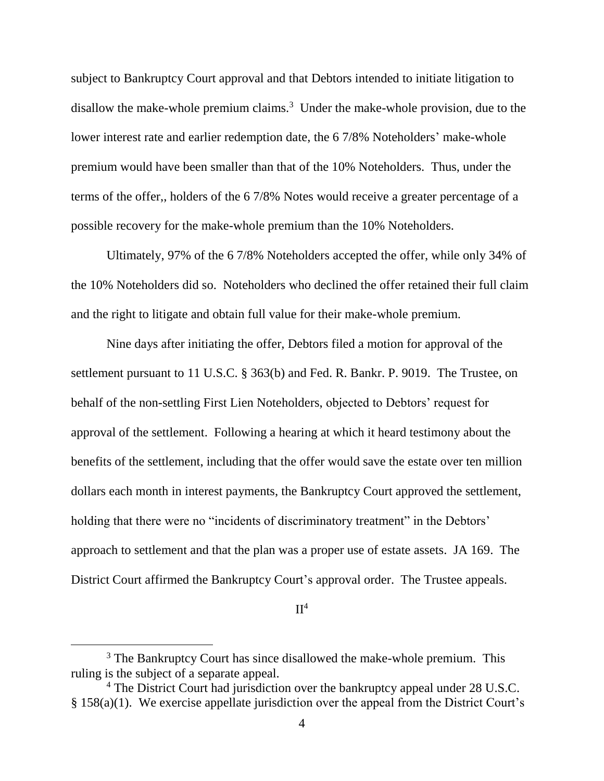subject to Bankruptcy Court approval and that Debtors intended to initiate litigation to disallow the make-whole premium claims.<sup>3</sup> Under the make-whole provision, due to the lower interest rate and earlier redemption date, the 6 7/8% Noteholders' make-whole premium would have been smaller than that of the 10% Noteholders. Thus, under the terms of the offer,, holders of the 6 7/8% Notes would receive a greater percentage of a possible recovery for the make-whole premium than the 10% Noteholders.

Ultimately, 97% of the 6 7/8% Noteholders accepted the offer, while only 34% of the 10% Noteholders did so. Noteholders who declined the offer retained their full claim and the right to litigate and obtain full value for their make-whole premium.

Nine days after initiating the offer, Debtors filed a motion for approval of the settlement pursuant to 11 U.S.C. § 363(b) and Fed. R. Bankr. P. 9019. The Trustee, on behalf of the non-settling First Lien Noteholders, objected to Debtors' request for approval of the settlement. Following a hearing at which it heard testimony about the benefits of the settlement, including that the offer would save the estate over ten million dollars each month in interest payments, the Bankruptcy Court approved the settlement, holding that there were no "incidents of discriminatory treatment" in the Debtors' approach to settlement and that the plan was a proper use of estate assets. JA 169. The District Court affirmed the Bankruptcy Court's approval order. The Trustee appeals.

### $II<sup>4</sup>$

<sup>&</sup>lt;sup>3</sup> The Bankruptcy Court has since disallowed the make-whole premium. This ruling is the subject of a separate appeal.

<sup>&</sup>lt;sup>4</sup> The District Court had jurisdiction over the bankruptcy appeal under 28 U.S.C. § 158(a)(1). We exercise appellate jurisdiction over the appeal from the District Court's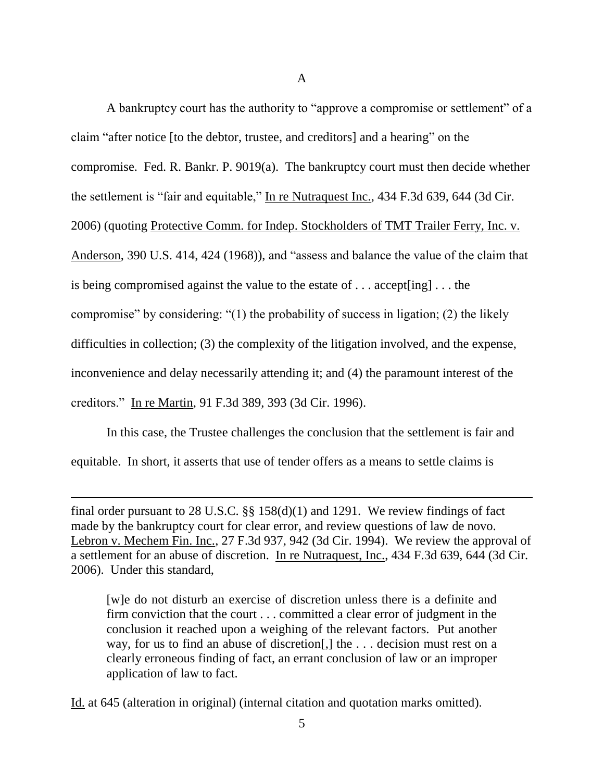A bankruptcy court has the authority to "approve a compromise or settlement" of a claim "after notice [to the debtor, trustee, and creditors] and a hearing" on the compromise. Fed. R. Bankr. P. 9019(a). The bankruptcy court must then decide whether the settlement is "fair and equitable," In re Nutraquest Inc., 434 F.3d 639, 644 (3d Cir. 2006) (quoting Protective Comm. for Indep. Stockholders of TMT Trailer Ferry, Inc. v. Anderson, 390 U.S. 414, 424 (1968)), and "assess and balance the value of the claim that is being compromised against the value to the estate of . . . accept[ing] . . . the compromise" by considering: "(1) the probability of success in ligation; (2) the likely difficulties in collection; (3) the complexity of the litigation involved, and the expense, inconvenience and delay necessarily attending it; and (4) the paramount interest of the creditors." In re Martin, 91 F.3d 389, 393 (3d Cir. 1996).

In this case, the Trustee challenges the conclusion that the settlement is fair and equitable. In short, it asserts that use of tender offers as a means to settle claims is

final order pursuant to 28 U.S.C.  $\S\S 158(d)(1)$  and 1291. We review findings of fact made by the bankruptcy court for clear error, and review questions of law de novo. Lebron v. Mechem Fin. Inc., 27 F.3d 937, 942 (3d Cir. 1994). We review the approval of a settlement for an abuse of discretion. In re Nutraquest, Inc., 434 F.3d 639, 644 (3d Cir. 2006). Under this standard,

[w]e do not disturb an exercise of discretion unless there is a definite and firm conviction that the court . . . committed a clear error of judgment in the conclusion it reached upon a weighing of the relevant factors. Put another way, for us to find an abuse of discretion[,] the . . . decision must rest on a clearly erroneous finding of fact, an errant conclusion of law or an improper application of law to fact.

Id. at 645 (alteration in original) (internal citation and quotation marks omitted).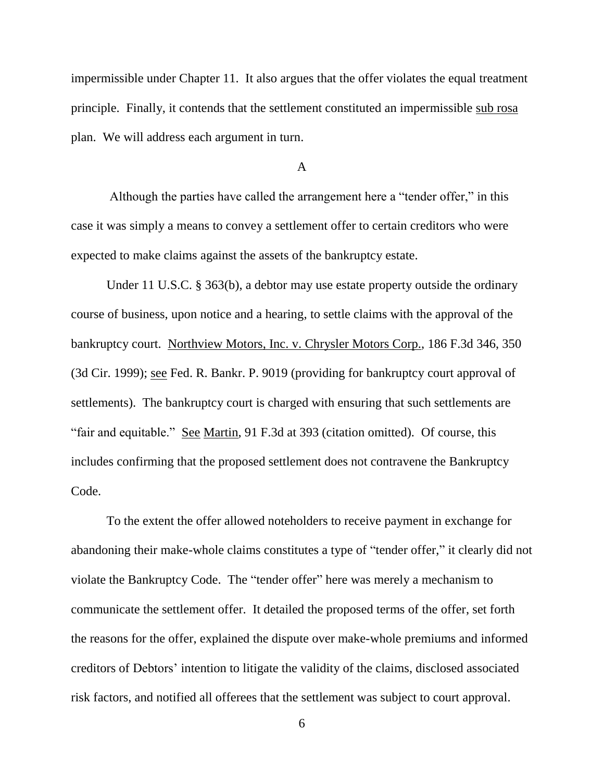impermissible under Chapter 11. It also argues that the offer violates the equal treatment principle. Finally, it contends that the settlement constituted an impermissible sub rosa plan. We will address each argument in turn.

#### A

Although the parties have called the arrangement here a "tender offer," in this case it was simply a means to convey a settlement offer to certain creditors who were expected to make claims against the assets of the bankruptcy estate.

Under 11 U.S.C. § 363(b), a debtor may use estate property outside the ordinary course of business, upon notice and a hearing, to settle claims with the approval of the bankruptcy court. Northview Motors, Inc. v. Chrysler Motors Corp., 186 F.3d 346, 350 (3d Cir. 1999); see Fed. R. Bankr. P. 9019 (providing for bankruptcy court approval of settlements). The bankruptcy court is charged with ensuring that such settlements are "fair and equitable." See Martin, 91 F.3d at 393 (citation omitted). Of course, this includes confirming that the proposed settlement does not contravene the Bankruptcy Code.

To the extent the offer allowed noteholders to receive payment in exchange for abandoning their make-whole claims constitutes a type of "tender offer," it clearly did not violate the Bankruptcy Code. The "tender offer" here was merely a mechanism to communicate the settlement offer. It detailed the proposed terms of the offer, set forth the reasons for the offer, explained the dispute over make-whole premiums and informed creditors of Debtors' intention to litigate the validity of the claims, disclosed associated risk factors, and notified all offerees that the settlement was subject to court approval.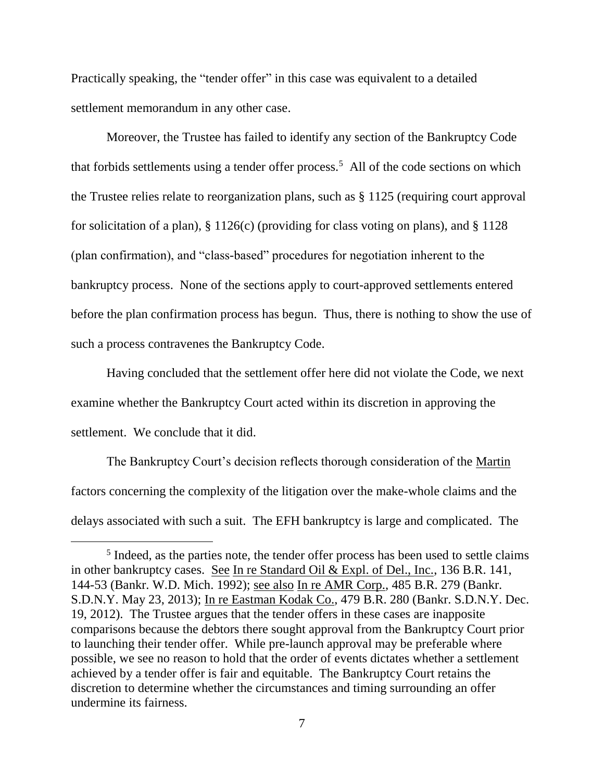Practically speaking, the "tender offer" in this case was equivalent to a detailed settlement memorandum in any other case.

Moreover, the Trustee has failed to identify any section of the Bankruptcy Code that forbids settlements using a tender offer process.<sup>5</sup> All of the code sections on which the Trustee relies relate to reorganization plans, such as § 1125 (requiring court approval for solicitation of a plan),  $\S 1126(c)$  (providing for class voting on plans), and  $\S 1128$ (plan confirmation), and "class-based" procedures for negotiation inherent to the bankruptcy process. None of the sections apply to court-approved settlements entered before the plan confirmation process has begun. Thus, there is nothing to show the use of such a process contravenes the Bankruptcy Code.

Having concluded that the settlement offer here did not violate the Code, we next examine whether the Bankruptcy Court acted within its discretion in approving the settlement. We conclude that it did.

The Bankruptcy Court's decision reflects thorough consideration of the Martin factors concerning the complexity of the litigation over the make-whole claims and the delays associated with such a suit. The EFH bankruptcy is large and complicated. The

<sup>&</sup>lt;sup>5</sup> Indeed, as the parties note, the tender offer process has been used to settle claims in other bankruptcy cases. See In re Standard Oil & Expl. of Del., Inc., 136 B.R. 141, 144-53 (Bankr. W.D. Mich. 1992); see also In re AMR Corp., 485 B.R. 279 (Bankr. S.D.N.Y. May 23, 2013); In re Eastman Kodak Co., 479 B.R. 280 (Bankr. S.D.N.Y. Dec. 19, 2012). The Trustee argues that the tender offers in these cases are inapposite comparisons because the debtors there sought approval from the Bankruptcy Court prior to launching their tender offer. While pre-launch approval may be preferable where possible, we see no reason to hold that the order of events dictates whether a settlement achieved by a tender offer is fair and equitable. The Bankruptcy Court retains the discretion to determine whether the circumstances and timing surrounding an offer undermine its fairness.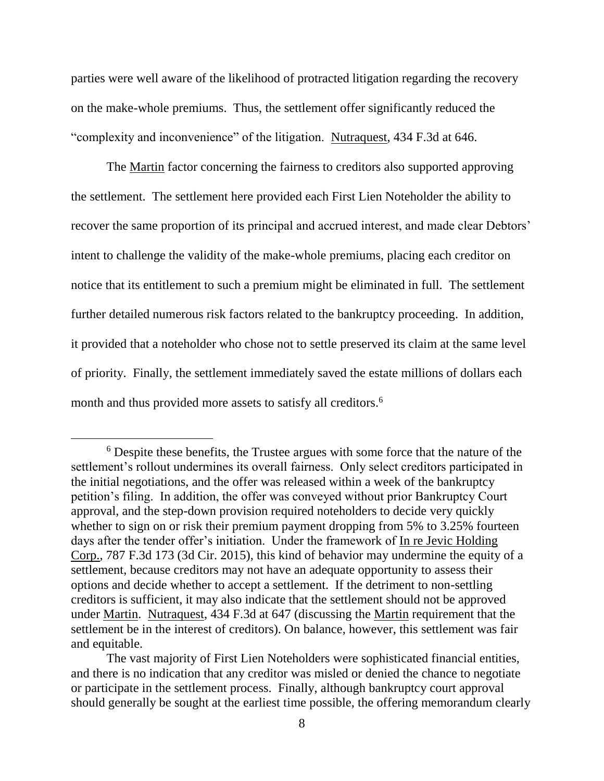parties were well aware of the likelihood of protracted litigation regarding the recovery on the make-whole premiums. Thus, the settlement offer significantly reduced the "complexity and inconvenience" of the litigation. Nutraquest, 434 F.3d at 646.

The Martin factor concerning the fairness to creditors also supported approving the settlement. The settlement here provided each First Lien Noteholder the ability to recover the same proportion of its principal and accrued interest, and made clear Debtors' intent to challenge the validity of the make-whole premiums, placing each creditor on notice that its entitlement to such a premium might be eliminated in full. The settlement further detailed numerous risk factors related to the bankruptcy proceeding. In addition, it provided that a noteholder who chose not to settle preserved its claim at the same level of priority. Finally, the settlement immediately saved the estate millions of dollars each month and thus provided more assets to satisfy all creditors.<sup>6</sup>

<sup>6</sup> Despite these benefits, the Trustee argues with some force that the nature of the settlement's rollout undermines its overall fairness. Only select creditors participated in the initial negotiations, and the offer was released within a week of the bankruptcy petition's filing. In addition, the offer was conveyed without prior Bankruptcy Court approval, and the step-down provision required noteholders to decide very quickly whether to sign on or risk their premium payment dropping from 5% to 3.25% fourteen days after the tender offer's initiation. Under the framework of In re Jevic Holding Corp., 787 F.3d 173 (3d Cir. 2015), this kind of behavior may undermine the equity of a settlement, because creditors may not have an adequate opportunity to assess their options and decide whether to accept a settlement. If the detriment to non-settling creditors is sufficient, it may also indicate that the settlement should not be approved under Martin. Nutraquest, 434 F.3d at 647 (discussing the Martin requirement that the settlement be in the interest of creditors). On balance, however, this settlement was fair and equitable.

The vast majority of First Lien Noteholders were sophisticated financial entities, and there is no indication that any creditor was misled or denied the chance to negotiate or participate in the settlement process. Finally, although bankruptcy court approval should generally be sought at the earliest time possible, the offering memorandum clearly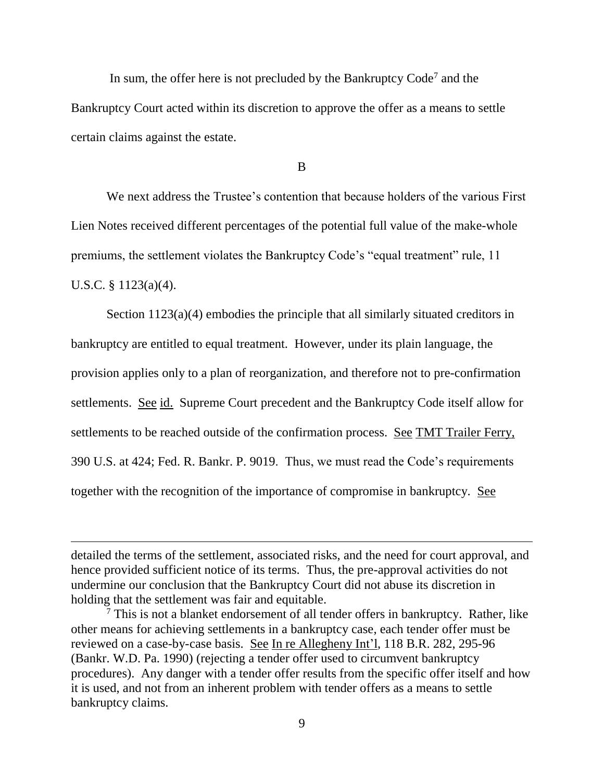In sum, the offer here is not precluded by the Bankruptcy Code<sup>7</sup> and the Bankruptcy Court acted within its discretion to approve the offer as a means to settle certain claims against the estate.

B

We next address the Trustee's contention that because holders of the various First Lien Notes received different percentages of the potential full value of the make-whole premiums, the settlement violates the Bankruptcy Code's "equal treatment" rule, 11 U.S.C. § 1123(a)(4).

Section 1123(a)(4) embodies the principle that all similarly situated creditors in bankruptcy are entitled to equal treatment. However, under its plain language, the provision applies only to a plan of reorganization, and therefore not to pre-confirmation settlements. See id. Supreme Court precedent and the Bankruptcy Code itself allow for settlements to be reached outside of the confirmation process. See TMT Trailer Ferry, 390 U.S. at 424; Fed. R. Bankr. P. 9019. Thus, we must read the Code's requirements together with the recognition of the importance of compromise in bankruptcy. See

detailed the terms of the settlement, associated risks, and the need for court approval, and hence provided sufficient notice of its terms. Thus, the pre-approval activities do not undermine our conclusion that the Bankruptcy Court did not abuse its discretion in holding that the settlement was fair and equitable.

 $\frac{7}{7}$  This is not a blanket endorsement of all tender offers in bankruptcy. Rather, like other means for achieving settlements in a bankruptcy case, each tender offer must be reviewed on a case-by-case basis. See In re Allegheny Int'l, 118 B.R. 282, 295-96 (Bankr. W.D. Pa. 1990) (rejecting a tender offer used to circumvent bankruptcy procedures). Any danger with a tender offer results from the specific offer itself and how it is used, and not from an inherent problem with tender offers as a means to settle bankruptcy claims.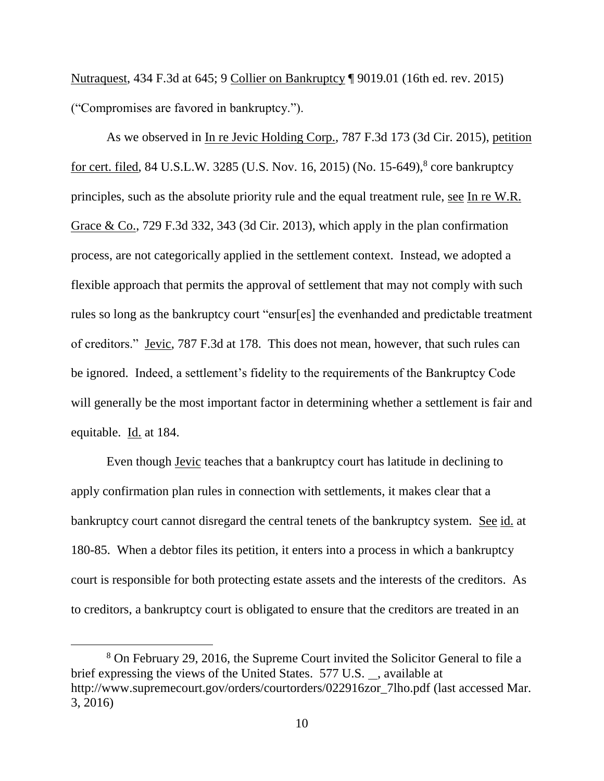Nutraquest, 434 F.3d at 645; 9 Collier on Bankruptcy ¶ 9019.01 (16th ed. rev. 2015) ("Compromises are favored in bankruptcy.").

As we observed in In re Jevic Holding Corp., 787 F.3d 173 (3d Cir. 2015), petition for cert. filed, 84 U.S.L.W. 3285 (U.S. Nov. 16, 2015) (No. 15-649),<sup>8</sup> core bankruptcy principles, such as the absolute priority rule and the equal treatment rule, see In re W.R. Grace & Co., 729 F.3d 332, 343 (3d Cir. 2013), which apply in the plan confirmation process, are not categorically applied in the settlement context. Instead, we adopted a flexible approach that permits the approval of settlement that may not comply with such rules so long as the bankruptcy court "ensur[es] the evenhanded and predictable treatment of creditors." Jevic, 787 F.3d at 178. This does not mean, however, that such rules can be ignored. Indeed, a settlement's fidelity to the requirements of the Bankruptcy Code will generally be the most important factor in determining whether a settlement is fair and equitable. Id. at 184.

Even though Jevic teaches that a bankruptcy court has latitude in declining to apply confirmation plan rules in connection with settlements, it makes clear that a bankruptcy court cannot disregard the central tenets of the bankruptcy system. See id. at 180-85. When a debtor files its petition, it enters into a process in which a bankruptcy court is responsible for both protecting estate assets and the interests of the creditors. As to creditors, a bankruptcy court is obligated to ensure that the creditors are treated in an

<sup>8</sup> On February 29, 2016, the Supreme Court invited the Solicitor General to file a brief expressing the views of the United States. 577 U.S. , available at http://www.supremecourt.gov/orders/courtorders/022916zor\_7lho.pdf (last accessed Mar. 3, 2016)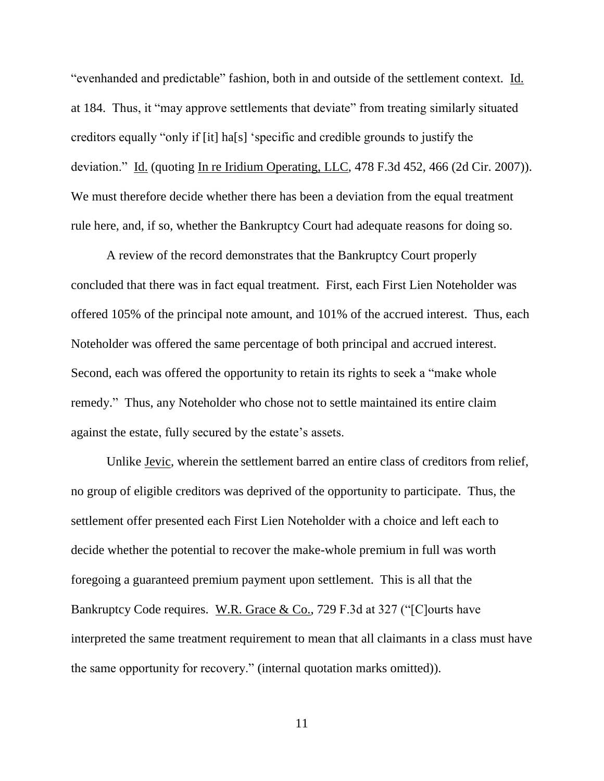"evenhanded and predictable" fashion, both in and outside of the settlement context. Id. at 184. Thus, it "may approve settlements that deviate" from treating similarly situated creditors equally "only if [it] ha[s] 'specific and credible grounds to justify the deviation." Id. (quoting In re Iridium Operating, LLC, 478 F.3d 452, 466 (2d Cir. 2007)). We must therefore decide whether there has been a deviation from the equal treatment rule here, and, if so, whether the Bankruptcy Court had adequate reasons for doing so.

A review of the record demonstrates that the Bankruptcy Court properly concluded that there was in fact equal treatment. First, each First Lien Noteholder was offered 105% of the principal note amount, and 101% of the accrued interest. Thus, each Noteholder was offered the same percentage of both principal and accrued interest. Second, each was offered the opportunity to retain its rights to seek a "make whole remedy." Thus, any Noteholder who chose not to settle maintained its entire claim against the estate, fully secured by the estate's assets.

Unlike Jevic, wherein the settlement barred an entire class of creditors from relief, no group of eligible creditors was deprived of the opportunity to participate. Thus, the settlement offer presented each First Lien Noteholder with a choice and left each to decide whether the potential to recover the make-whole premium in full was worth foregoing a guaranteed premium payment upon settlement. This is all that the Bankruptcy Code requires. W.R. Grace & Co., 729 F.3d at 327 ("[C]ourts have interpreted the same treatment requirement to mean that all claimants in a class must have the same opportunity for recovery." (internal quotation marks omitted)).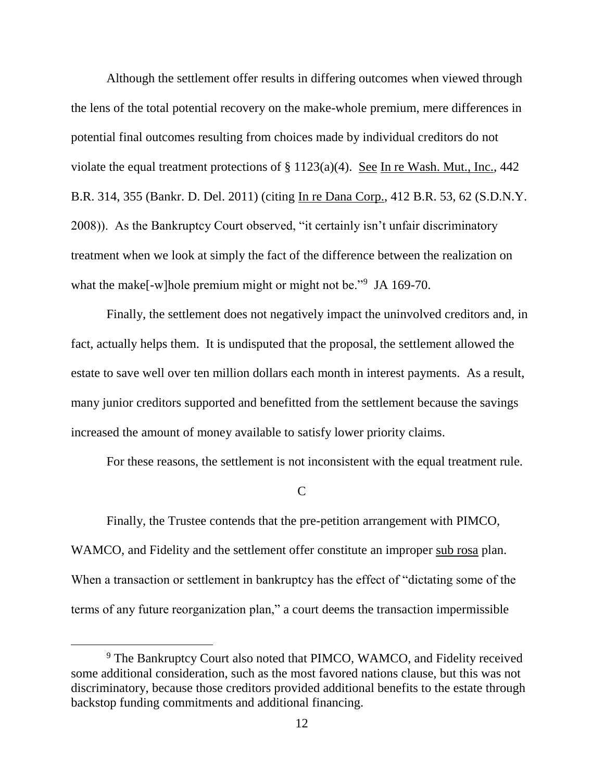Although the settlement offer results in differing outcomes when viewed through the lens of the total potential recovery on the make-whole premium, mere differences in potential final outcomes resulting from choices made by individual creditors do not violate the equal treatment protections of  $\S 1123(a)(4)$ . See In re Wash. Mut., Inc., 442 B.R. 314, 355 (Bankr. D. Del. 2011) (citing In re Dana Corp., 412 B.R. 53, 62 (S.D.N.Y. 2008)). As the Bankruptcy Court observed, "it certainly isn't unfair discriminatory treatment when we look at simply the fact of the difference between the realization on what the make[-w]hole premium might or might not be."<sup>9</sup> JA 169-70.

Finally, the settlement does not negatively impact the uninvolved creditors and, in fact, actually helps them. It is undisputed that the proposal, the settlement allowed the estate to save well over ten million dollars each month in interest payments. As a result, many junior creditors supported and benefitted from the settlement because the savings increased the amount of money available to satisfy lower priority claims.

For these reasons, the settlement is not inconsistent with the equal treatment rule.

 $\mathcal{C}$ 

Finally, the Trustee contends that the pre-petition arrangement with PIMCO, WAMCO, and Fidelity and the settlement offer constitute an improper sub rosa plan. When a transaction or settlement in bankruptcy has the effect of "dictating some of the terms of any future reorganization plan," a court deems the transaction impermissible

<sup>&</sup>lt;sup>9</sup> The Bankruptcy Court also noted that PIMCO, WAMCO, and Fidelity received some additional consideration, such as the most favored nations clause, but this was not discriminatory, because those creditors provided additional benefits to the estate through backstop funding commitments and additional financing.